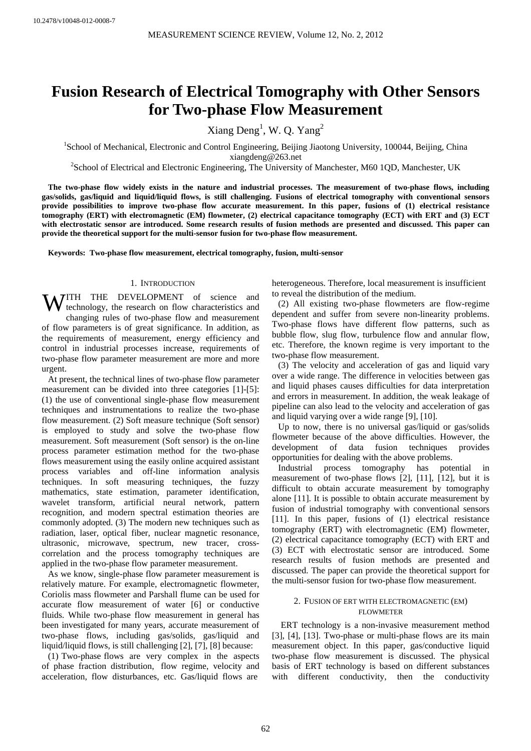# **Fusion Research of Electrical Tomography with Other Sensors for Two-phase Flow Measurement**

Xiang  $Deng<sup>1</sup>$ , W. Q. Yang<sup>2</sup>

<sup>1</sup>School of Mechanical, Electronic and Control Engineering, Beijing Jiaotong University, 100044, Beijing, China

xiangdeng@263.net<br><sup>2</sup>School of Electrical and Electronic Engineering, The University of Manchester, M60 1QD, Manchester, UK<sup>2</sup>

**The two-phase flow widely exists in the nature and industrial processes. The measurement of two-phase flows, including gas/solids, gas/liquid and liquid/liquid flows, is still challenging. Fusions of electrical tomography with conventional sensors provide possibilities to improve two-phase flow accurate measurement. In this paper, fusions of (1) electrical resistance tomography (ERT) with electromagnetic (EM) flowmeter, (2) electrical capacitance tomography (ECT) with ERT and (3) ECT with electrostatic sensor are introduced. Some research results of fusion methods are presented and discussed. This paper can provide the theoretical support for the multi-sensor fusion for two-phase flow measurement.** 

**Keywords: Two-phase flow measurement, electrical tomography, fusion, multi-sensor** 

## 1. INTRODUCTION

**WITH THE DEVELOPMENT** of science and technology, the research on flow characteristics and technology, the research on flow characteristics and changing rules of two-phase flow and measurement of flow parameters is of great significance. In addition, as the requirements of measurement, energy efficiency and control in industrial processes increase, requirements of two-phase flow parameter measurement are more and more urgent.

At present, the technical lines of two-phase flow parameter measurement can be divided into three categories [1]-[5]: (1) the use of conventional single-phase flow measurement techniques and instrumentations to realize the two-phase flow measurement. (2) Soft measure technique (Soft sensor) is employed to study and solve the two-phase flow measurement. Soft measurement (Soft sensor) is the on-line process parameter estimation method for the two-phase flows measurement using the easily online acquired assistant process variables and off-line information analysis techniques. In soft measuring techniques, the fuzzy mathematics, state estimation, parameter identification, wavelet transform, artificial neural network, pattern recognition, and modern spectral estimation theories are commonly adopted. (3) The modern new techniques such as radiation, laser, optical fiber, nuclear magnetic resonance, ultrasonic, microwave, spectrum, new tracer, crosscorrelation and the process tomography techniques are applied in the two-phase flow parameter measurement.

As we know, single-phase flow parameter measurement is relatively mature. For example, electromagnetic flowmeter, Coriolis mass flowmeter and Parshall flume can be used for accurate flow measurement of water [6] or conductive fluids. While two-phase flow measurement in general has been investigated for many years, accurate measurement of two-phase flows, including gas/solids, gas/liquid and liquid/liquid flows, is still challenging [2], [7], [8] because:

(1) Two-phase flows are very complex in the aspects of phase fraction distribution, flow regime, velocity and acceleration, flow disturbances, etc. Gas/liquid flows are

heterogeneous. Therefore, local measurement is insufficient to reveal the distribution of the medium.

(2) All existing two-phase flowmeters are flow-regime dependent and suffer from severe non-linearity problems. Two-phase flows have different flow patterns, such as bubble flow, slug flow, turbulence flow and annular flow, etc. Therefore, the known regime is very important to the two-phase flow measurement.

(3) The velocity and acceleration of gas and liquid vary over a wide range. The difference in velocities between gas and liquid phases causes difficulties for data interpretation and errors in measurement. In addition, the weak leakage of pipeline can also lead to the velocity and acceleration of gas and liquid varying over a wide range [9], [10].

Up to now, there is no universal gas/liquid or gas/solids flowmeter because of the above difficulties. However, the development of data fusion techniques provides opportunities for dealing with the above problems.

Industrial process tomography has potential in measurement of two-phase flows [2], [11], [12], but it is difficult to obtain accurate measurement by tomography alone [11]. It is possible to obtain accurate measurement by fusion of industrial tomography with conventional sensors [11]. In this paper, fusions of (1) electrical resistance tomography (ERT) with electromagnetic (EM) flowmeter, (2) electrical capacitance tomography (ECT) with ERT and (3) ECT with electrostatic sensor are introduced. Some research results of fusion methods are presented and discussed. The paper can provide the theoretical support for the multi-sensor fusion for two-phase flow measurement.

# 2. FUSION OF ERT WITH ELECTROMAGNETIC (EM) FLOWMETER

ERT technology is a non-invasive measurement method [3], [4], [13]. Two-phase or multi-phase flows are its main measurement object. In this paper, gas/conductive liquid two-phase flow measurement is discussed. The physical basis of ERT technology is based on different substances with different conductivity, then the conductivity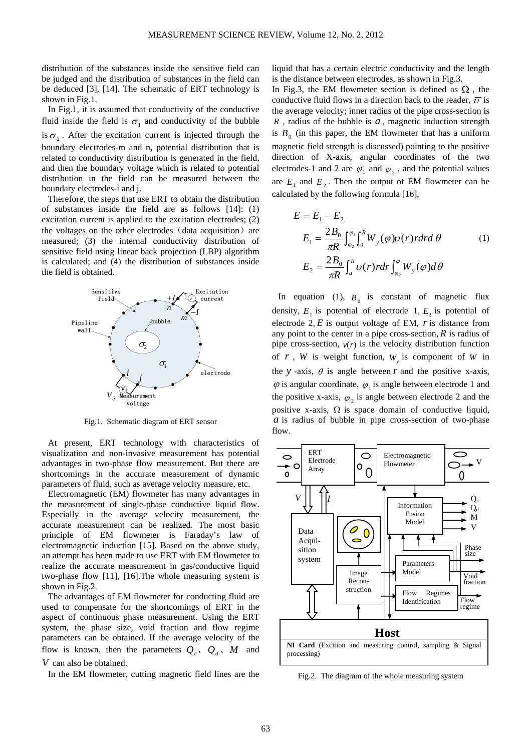distribution of the substances inside the sensitive field can be judged and the distribution of substances in the field can be deduced [3], [14]. The schematic of ERT technology is shown in Fig.1.

In Fig.1, it is assumed that conductivity of the conductive fluid inside the field is  $\sigma_1$  and conductivity of the bubble is  $\sigma_2$ . After the excitation current is injected through the boundary electrodes-m and n, potential distribution that is related to conductivity distribution is generated in the field, and then the boundary voltage which is related to potential distribution in the field can be measured between the boundary electrodes-i and j.

Therefore, the steps that use ERT to obtain the distribution of substances inside the field are as follows [14]: (1) excitation current is applied to the excitation electrodes; (2) the voltages on the other electrodes  $(data acquisition)$  are measured; (3) the internal conductivity distribution of sensitive field using linear back projection (LBP) algorithm is calculated; and (4) the distribution of substances inside the field is obtained.



Fig.1. Schematic diagram of ERT sensor

At present, ERT technology with characteristics of visualization and non-invasive measurement has potential advantages in two-phase flow measurement. But there are shortcomings in the accurate measurement of dynamic parameters of fluid, such as average velocity measure, etc.

Electromagnetic (EM) flowmeter has many advantages in the measurement of single-phase conductive liquid flow. Especially in the average velocity measurement, the accurate measurement can be realized. The most basic principle of EM flowmeter is Faraday's law of electromagnetic induction [15]. Based on the above study, an attempt has been made to use ERT with EM flowmeter to realize the accurate measurement in gas/conductive liquid two-phase flow [11], [16].The whole measuring system is shown in Fig.2.

The advantages of EM flowmeter for conducting fluid are used to compensate for the shortcomings of ERT in the aspect of continuous phase measurement. Using the ERT system, the phase size, void fraction and flow regime parameters can be obtained. If the average velocity of the flow is known, then the parameters  $Q_c$ ,  $Q_d$ , *M* and *V* can also be obtained.

In the EM flowmeter, cutting magnetic field lines are the

liquid that has a certain electric conductivity and the length is the distance between electrodes, as shown in Fig.3.

In Fig.3, the EM flowmeter section is defined as  $\Omega$ , the conductive fluid flows in a direction back to the reader,  $\overline{v}$  is the average velocity; inner radius of the pipe cross-section is *R* , radius of the bubble is *a* , magnetic induction strength is  $B_0$  (in this paper, the EM flowmeter that has a uniform magnetic field strength is discussed) pointing to the positive direction of X-axis, angular coordinates of the two electrodes-1 and 2 are  $\varphi_1$  and  $\varphi_2$ , and the potential values are  $E_1$  and  $E_2$ . Then the output of EM flowmeter can be calculated by the following formula [16],

$$
E = E_1 - E_2
$$
  
\n
$$
E_1 = \frac{2B_0}{\pi R} \int_{\varphi_2}^{\varphi_1} \int_a^R W_y(\varphi) \nu(r) r dr d\theta
$$
  
\n
$$
E_2 = \frac{2B_0}{\pi R} \int_a^R \nu(r) r dr \int_{\varphi_2}^{\varphi_1} W_y(\varphi) d\theta
$$
 (1)

In equation (1),  $B_0$  is constant of magnetic flux density,  $E_1$  is potential of electrode 1,  $E_2$  is potential of electrode  $2, E$  is output voltage of EM,  $r$  is distance from any point to the center in a pipe cross-section,  $R$  is radius of pipe cross-section,  $v(r)$  is the velocity distribution function of  $r$ ,  $W$  is weight function,  $W$  is component of  $W$  in the *y* -axis,  $\theta$  is angle between *r* and the positive x-axis,  $\varphi$  is angular coordinate,  $\varphi_1$  is angle between electrode 1 and the positive x-axis,  $\varphi$ , is angle between electrode 2 and the positive x-axis,  $\Omega$  is space domain of conductive liquid, *a* is radius of bubble in pipe cross-section of two-phase flow.



Fig.2. The diagram of the whole measuring system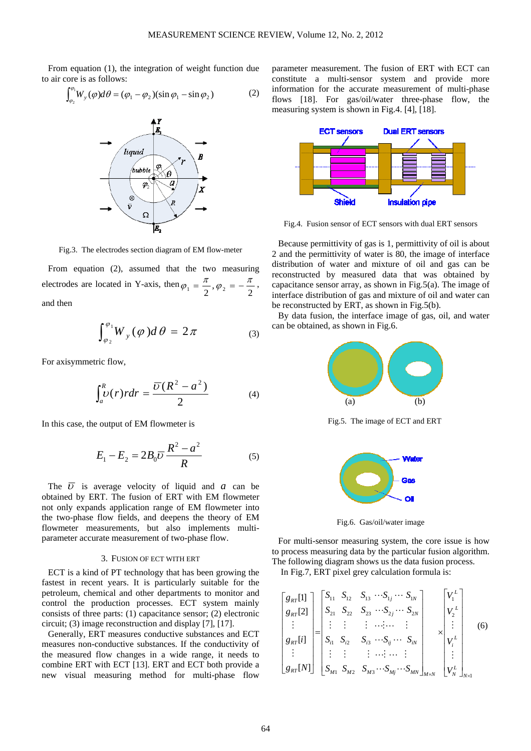From equation (1), the integration of weight function due to air core is as follows:

$$
\int_{\varphi_2}^{\varphi_1} W_y(\varphi) d\theta = (\varphi_1 - \varphi_2)(\sin \varphi_1 - \sin \varphi_2)
$$
 (2)



Fig.3. The electrodes section diagram of EM flow-meter

From equation (2), assumed that the two measuring electrodes are located in Y-axis, then  $\varphi_1 = \frac{\pi}{2}$ ,  $\varphi_2 = -\frac{\pi}{2}$ , and then

$$
\int_{\varphi_2}^{\varphi_1} W_y(\varphi) d\theta = 2\pi \tag{3}
$$

For axisymmetric flow,

$$
\int_{a}^{R} \nu(r) r dr = \frac{\overline{v}(R^{2} - a^{2})}{2}
$$
 (4)

In this case, the output of EM flowmeter is

$$
E_1 - E_2 = 2B_0 \overline{U} \frac{R^2 - a^2}{R}
$$
 (5)

The  $\overline{U}$  is average velocity of liquid and *a* can be obtained by ERT. The fusion of ERT with EM flowmeter not only expands application range of EM flowmeter into the two-phase flow fields, and deepens the theory of EM flowmeter measurements, but also implements multiparameter accurate measurement of two-phase flow.

### 3. FUSION OF ECT WITH ERT

ECT is a kind of PT technology that has been growing the fastest in recent years. It is particularly suitable for the petroleum, chemical and other departments to monitor and control the production processes. ECT system mainly consists of three parts: (1) capacitance sensor; (2) electronic circuit; (3) image reconstruction and display [7], [17].

Generally, ERT measures conductive substances and ECT measures non-conductive substances. If the conductivity of the measured flow changes in a wide range, it needs to combine ERT with ECT [13]. ERT and ECT both provide a new visual measuring method for multi-phase flow

parameter measurement. The fusion of ERT with ECT can constitute a multi-sensor system and provide more information for the accurate measurement of multi-phase flows [18]. For gas/oil/water three-phase flow, the measuring system is shown in Fig.4. [4], [18].



Fig.4. Fusion sensor of ECT sensors with dual ERT sensors

Because permittivity of gas is 1, permittivity of oil is about 2 and the permittivity of water is 80, the image of interface distribution of water and mixture of oil and gas can be reconstructed by measured data that was obtained by capacitance sensor array, as shown in Fig.5(a). The image of interface distribution of gas and mixture of oil and water can be reconstructed by ERT, as shown in Fig.5(b).

By data fusion, the interface image of gas, oil, and water can be obtained, as shown in Fig.6.



Fig.5. The image of ECT and ERT



Fig.6. Gas/oil/water image

For multi-sensor measuring system, the core issue is how to process measuring data by the particular fusion algorithm. The following diagram shows us the data fusion process.

In Fig.7, ERT pixel grey calculation formula is:

$$
\begin{bmatrix} g_{RT}[1] \\ g_{RT}[2] \\ \vdots \\ g_{RT}[i] \\ g_{RT}[N] \end{bmatrix} = \begin{bmatrix} S_{11} & S_{12} & S_{13} & \cdots & S_{1j} & \cdots & S_{1N} \\ S_{21} & S_{22} & S_{23} & \cdots & S_{2j} & \cdots & S_{2N} \\ \vdots & \vdots & \vdots & \ddots & \vdots & \vdots \\ S_{i1} & S_{i2} & S_{i3} & \cdots & S_{iN} & \cdots & S_{iN} \\ \vdots & \vdots & \vdots & \vdots & \ddots & \vdots & \vdots \\ S_{M1} & S_{M2} & S_{M3} & \cdots & S_{Mj} & \cdots & S_{MN} \end{bmatrix}_{M \times N} \begin{bmatrix} V_1^L \\ V_2^L \\ \vdots \\ V_i^L \\ \vdots \\ V_N^L \end{bmatrix} \tag{6}
$$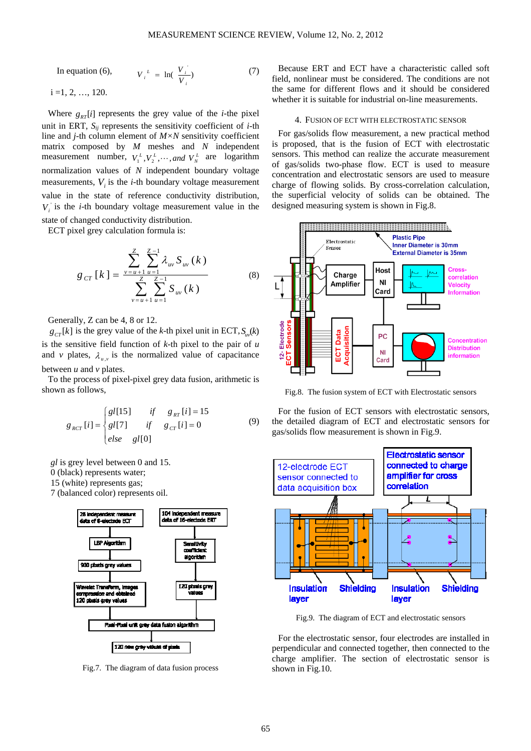In equation (6),  $V_i^L = \ln(\frac{V_i}{I})$ *i*  $V_i^L = \ln(\frac{V_i}{V_i})$  (7)

 $i = 1, 2, ..., 120.$ 

Where  $g_{rr}[i]$  represents the grey value of the *i*-the pixel unit in ERT,  $S_{ij}$  represents the sensitivity coefficient of *i*-th line and *j*-th column element of *M×N* sensitivity coefficient matrix composed by *M* meshes and *N* independent measurement number,  $V_1^L$ ,  $V_2^L$ ,  $\cdots$ , and  $V_N^L$  are logarithm normalization values of *N* independent boundary voltage measurements,  $V_i$  is the *i*-th boundary voltage measurement value in the state of reference conductivity distribution, *Vi* is the *i*-th boundary voltage measurement value in the state of changed conductivity distribution.

ECT pixel grey calculation formula is:

$$
g_{cr}[k] = \frac{\sum_{\nu=u+1}^{Z} \sum_{u=1}^{Z-1} \lambda_{uv} S_{uv}(k)}{\sum_{\nu=u+1}^{Z} \sum_{u=1}^{Z-1} S_{uv}(k)}
$$
(8)

Generally, Z can be 4, 8 or 12.

 $g_{cr}[k]$  is the grey value of the *k*-th pixel unit in ECT,  $S_{m}(k)$ is the sensitive field function of *k*-th pixel to the pair of *u* and *v* plates,  $\lambda_{\mu\nu}$  is the normalized value of capacitance between  $u$  and  $v$  plates.

To the process of pixel-pixel grey data fusion, arithmetic is shown as follows,

$$
g_{_{RCT}}[i] = \begin{cases} gl[15] & if & g_{_{RT}}[i] = 15 \\ gl[7] & if & g_{_{CT}}[i] = 0 \\ else & gl[0] \end{cases}
$$
 (9)

*gl* is grey level between 0 and 15.

0 (black) represents water;

15 (white) represents gas;

7 (balanced color) represents oil.



Fig.7. The diagram of data fusion process

Because ERT and ECT have a characteristic called soft field, nonlinear must be considered. The conditions are not the same for different flows and it should be considered whether it is suitable for industrial on-line measurements.

#### 4. FUSION OF ECT WITH ELECTROSTATIC SENSOR

For gas/solids flow measurement, a new practical method is proposed, that is the fusion of ECT with electrostatic sensors. This method can realize the accurate measurement of gas/solids two-phase flow. ECT is used to measure concentration and electrostatic sensors are used to measure charge of flowing solids. By cross-correlation calculation, the superficial velocity of solids can be obtained. The designed measuring system is shown in Fig.8.



Fig.8. The fusion system of ECT with Electrostatic sensors

For the fusion of ECT sensors with electrostatic sensors, the detailed diagram of ECT and electrostatic sensors for gas/solids flow measurement is shown in Fig.9.



Fig.9. The diagram of ECT and electrostatic sensors

For the electrostatic sensor, four electrodes are installed in perpendicular and connected together, then connected to the charge amplifier. The section of electrostatic sensor is shown in Fig.10.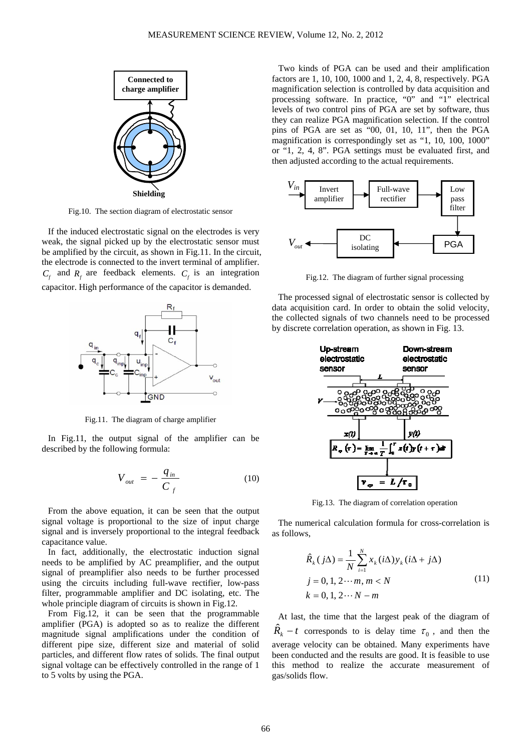

Fig.10. The section diagram of electrostatic sensor

If the induced electrostatic signal on the electrodes is very weak, the signal picked up by the electrostatic sensor must be amplified by the circuit, as shown in Fig.11. In the circuit, the electrode is connected to the invert terminal of amplifier.  $C_f$  and  $R_f$  are feedback elements.  $C_f$  is an integration capacitor. High performance of the capacitor is demanded.



Fig.11. The diagram of charge amplifier

In Fig.11, the output signal of the amplifier can be described by the following formula:

$$
V_{out} = -\frac{q_{in}}{C_f}
$$
 (10)

From the above equation, it can be seen that the output signal voltage is proportional to the size of input charge signal and is inversely proportional to the integral feedback capacitance value.

In fact, additionally, the electrostatic induction signal needs to be amplified by AC preamplifier, and the output signal of preamplifier also needs to be further processed using the circuits including full-wave rectifier, low-pass filter, programmable amplifier and DC isolating, etc. The whole principle diagram of circuits is shown in Fig.12.

From Fig.12, it can be seen that the programmable amplifier (PGA) is adopted so as to realize the different magnitude signal amplifications under the condition of different pipe size, different size and material of solid particles, and different flow rates of solids. The final output signal voltage can be effectively controlled in the range of 1 to 5 volts by using the PGA.

Two kinds of PGA can be used and their amplification factors are 1, 10, 100, 1000 and 1, 2, 4, 8, respectively. PGA magnification selection is controlled by data acquisition and processing software. In practice, "0" and "1" electrical levels of two control pins of PGA are set by software, thus they can realize PGA magnification selection. If the control pins of PGA are set as "00, 01, 10, 11", then the PGA magnification is correspondingly set as "1, 10, 100, 1000" or "1, 2, 4, 8". PGA settings must be evaluated first, and then adjusted according to the actual requirements.



Fig.12. The diagram of further signal processing

The processed signal of electrostatic sensor is collected by data acquisition card. In order to obtain the solid velocity, the collected signals of two channels need to be processed by discrete correlation operation, as shown in Fig. 13.



Fig.13. The diagram of correlation operation

The numerical calculation formula for cross-correlation is as follows,

$$
\hat{R}_{k}(j\Delta) = \frac{1}{N} \sum_{i=1}^{N} x_{k}(i\Delta) y_{k}(i\Delta + j\Delta)
$$
\n
$$
j = 0, 1, 2 \cdots m, m < N
$$
\n
$$
k = 0, 1, 2 \cdots N - m
$$
\n(11)

At last, the time that the largest peak of the diagram of  $\hat{R}_{k}$  − t corresponds to is delay time  $\tau_0$ , and then the average velocity can be obtained. Many experiments have been conducted and the results are good. It is feasible to use this method to realize the accurate measurement of gas/solids flow.